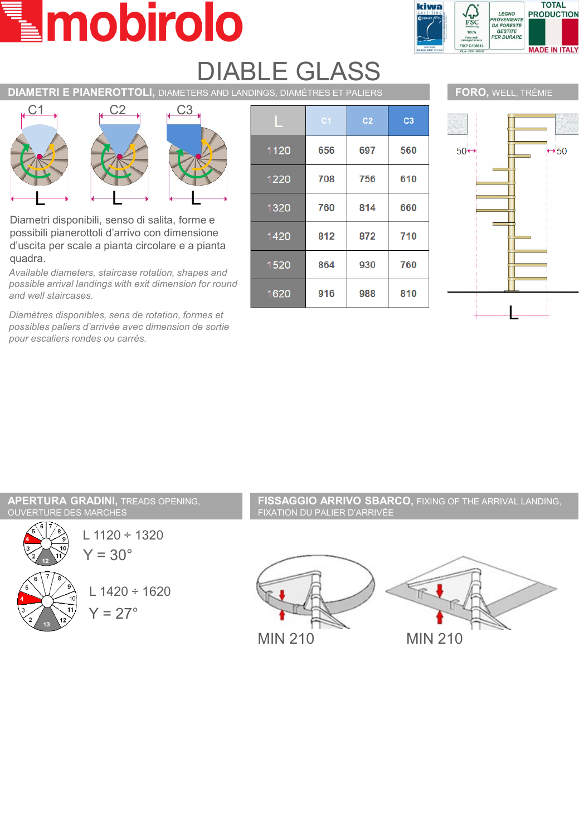# mobirolo



### DIABLE GLASS

**DIAMETRI E PIANEROTTOLI,** DIAMETERS AND LANDINGS, DIAMÈTRES ET PALIERS



Diametri disponibili, senso di salita, forme e possibili pianerottoli d'arrivo con dimensione d'uscita per scale a pianta circolare e a pianta quadra.

*Available diameters, staircase rotation, shapes and possible arrival landings with exit dimension for round and well staircases.*

*Diamètres disponibles, sens de rotation, formes et possibles paliers d'arrivée avec dimension de sortie pour escaliers rondes ou carrés.*

|      | C <sub>1</sub> | C <sub>2</sub> | C <sub>3</sub> |
|------|----------------|----------------|----------------|
| 1120 | 656            | 697            | 560            |
| 1220 | 708            | 756            | 610            |
| 1320 | 760            | 814            | 660            |
| 1420 | 812            | 872            | 710            |
| 1520 | 864            | 930            | 760            |
| 1620 | 916            | 988            | 810            |



L

#### **APERTURA GRADINI,** TREADS OPENING, OUVERTURE DES MARCHES



 $Y = 30^\circ$ L 1120 ÷ 1320



**FISSAGGIO ARRIVO SBARCO,** FIXING OF THE ARRIVAL LANDING, FIXATION DU PALIER D'ARRIVÉE

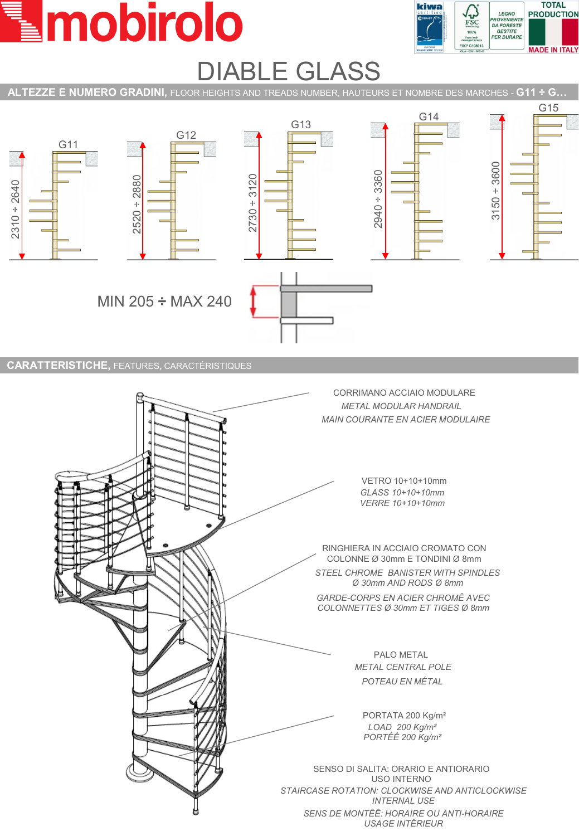## mobirolo



### DIABLE GLASS





**CARATTERISTICHE,** FEATURES**,** CARACTÉRISTIQUES